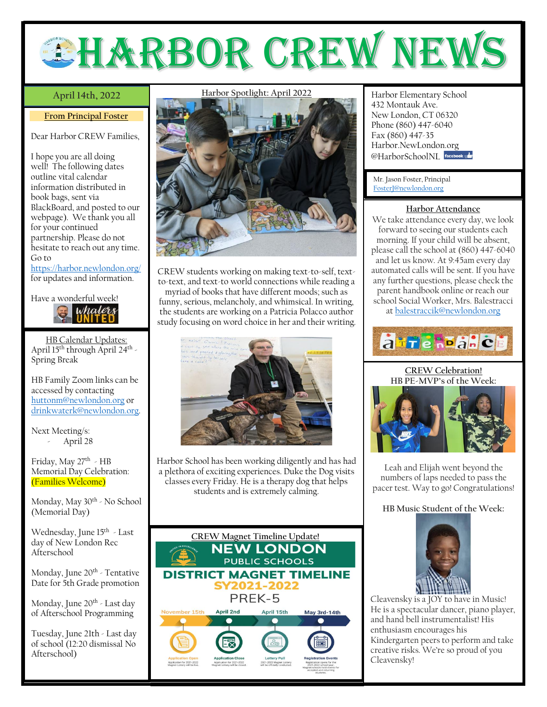

## April 14th, 2022

## **From Principal Foster**

Dear Harbor CREW Families,

I hope you are all doing well! The following dates outline vital calendar information distributed in book bags, sent via BlackBoard, and posted to our webpage). We thank you all for your continued partnership. Please do not hesitate to reach out any time. Go to <https://harbor.newlondon.org/>

for updates and information.



HB Calendar Updates: April 15<sup>th</sup> through April 24<sup>th</sup> -Spring Break

HB Family Zoom links can be accessed by contacting [huttonm@newlondon.org](mailto:huttonm@newlondon.org) or [drinkwaterk@newlondon.org.](mailto:drinkwaterk@newlondon.org)

Next Meeting/s: April 28

Friday, May 27<sup>th</sup> - HB Memorial Day Celebration: (Families Welcome)

Monday, May 30<sup>th</sup> - No School (Memorial Day)

Wednesday, June 15<sup>th</sup> - Last day of New London Rec Afterschool

Monday, June 20<sup>th</sup> - Tentative Date for 5th Grade promotion

Monday, June 20<sup>th</sup> - Last day of Afterschool Programming

Tuesday, June 21th - Last day of school (12:20 dismissal No Afterschool)

**Harbor Spotlight: April 2022**



CREW students working on making text-to-self, textto-text, and text-to world connections while reading a myriad of books that have different moods; such as funny, serious, melancholy, and whimsical. In writing, the students are working on a Patricia Polacco author study focusing on word choice in her and their writing.



Harbor School has been working diligently and has had a plethora of exciting experiences. Duke the Dog visits classes every Friday. He is a therapy dog that helps students and is extremely calming.



**April 14th, 2022** Harbor Elementary School 432 Montauk Ave. New London, CT 06320 Phone (860) 447-6040 Fax (860) 447-35 Harbor.NewLondon.org @HarborSchoolNI facebook

Mr. Jason Foster, Principal [FosterJ@newlondon.org](mailto:FosterJ@newlondon.org)

## **Harbor Attendance**

We take attendance every day, we look forward to seeing our students each morning. If your child will be absent, please call the school at (860) 447-6040 and let us know. At 9:45am every day automated calls will be sent. If you have any further questions, please check the parent handbook online or reach our school Social Worker, Mrs. Balestracci a[t balestraccik@newlondon.org](mailto:balestraccik@newlondon.org)

atre REalice

**CREW Celebration! HB PE-MVP's of the Week:**



Leah and Elijah went beyond the numbers of laps needed to pass the pacer test. Way to go! Congratulations!

## **HB Music Student of the Week:**



Cleavensky is a JOY to have in Music! He is a spectacular dancer, piano player, and hand bell instrumentalist! His enthusiasm encourages his Kindergarten peers to perform and take creative risks. We're so proud of you Cleavensky!